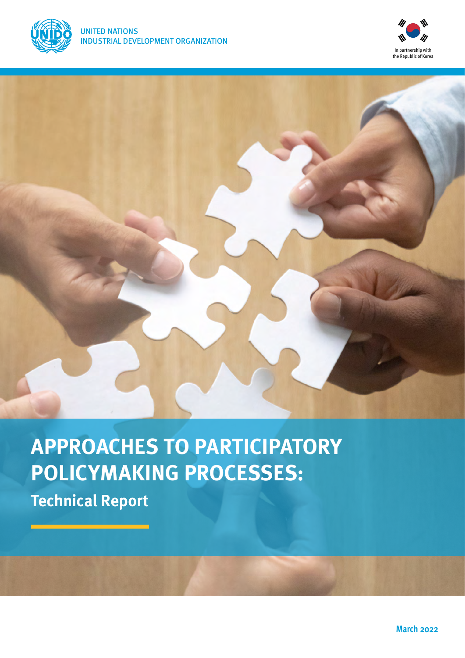



# **APPROACHES TO PARTICIPATORY POLICYMAKING PROCESSES:**

**Technical Report**

**March 2022**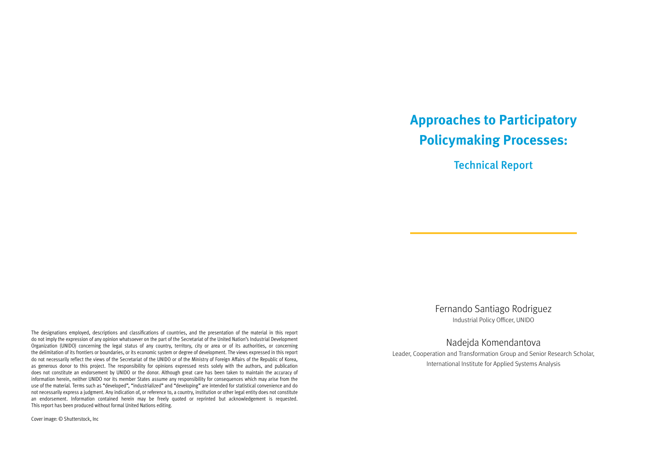The designations employed, descriptions and classifications of countries, and the presentation of the material in this report do not imply the expression of any opinion whatsoever on the part of the Secretariat of the United Nation's Industrial Development Organization (UNIDO) concerning the legal status of any country, territory, city or area or of its authorities, or concerning the delimitation of its frontiers or boundaries, or its economic system or degree of development. The views expressed in this report do not necessarily reflect the views of the Secretariat of the UNIDO or of the Ministry of Foreign Affairs of the Republic of Korea, as generous donor to this project. The responsibility for opinions expressed rests solely with the authors, and publication does not constitute an endorsement by UNIDO or the donor. Although great care has been taken to maintain the accuracy of information herein, neither UNIDO nor its member States assume any responsibility for consequences which may arise from the use of the material. Terms such as "developed", "industrialized" and "developing" are intended for statistical convenience and do not necessarily express a judgment. Any indication of, or reference to, a country, institution or other legal entity does not constitute an endorsement. Information contained herein may be freely quoted or reprinted but acknowledgement is requested. This report has been produced without formal United Nations editing.

Cover image: © Shutterstock, Inc

# **Approaches to Participatory Policymaking Processes:**

Technical Report

Fernando Santiago Rodriguez Industrial Policy Officer, UNIDO

Nadejda Komendantova Leader, Cooperation and Transformation Group and Senior Research Scholar, International Institute for Applied Systems Analysis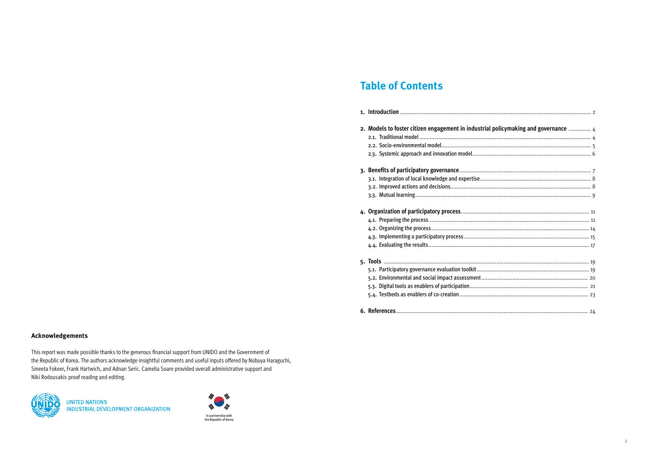i

#### **Acknowledgements**

This report was made possible thanks to the generous financial support from UNIDO and the Government of the Republic of Korea. The authors acknowledge insightful comments and useful inputs offered by Nobuya Haraguchi, Smeeta Fokeer, Frank Hartwich, and Adnan Seric. Camelia Soare provided overall administrative support and Niki Rodousakis proof reading and editing.



**UNITED NATIONS** INDUSTRIAL DEVELOPMENT ORGANIZATION

## **Table of Contents**

| policymaking and governance  4 |
|--------------------------------|
|                                |
|                                |
|                                |
|                                |
|                                |
|                                |
|                                |
|                                |
|                                |
|                                |
|                                |
|                                |
|                                |
|                                |
|                                |
|                                |
|                                |
|                                |
|                                |
|                                |
|                                |
|                                |

| 2. Models to foster citizen engagement in industrial policymaking and governance  4 |  |
|-------------------------------------------------------------------------------------|--|
|                                                                                     |  |
|                                                                                     |  |
|                                                                                     |  |
|                                                                                     |  |
|                                                                                     |  |
|                                                                                     |  |
|                                                                                     |  |
|                                                                                     |  |
|                                                                                     |  |
|                                                                                     |  |
|                                                                                     |  |
|                                                                                     |  |
|                                                                                     |  |
|                                                                                     |  |
|                                                                                     |  |

**6. References**[..................................................................................................................................](#page-14-0) 24

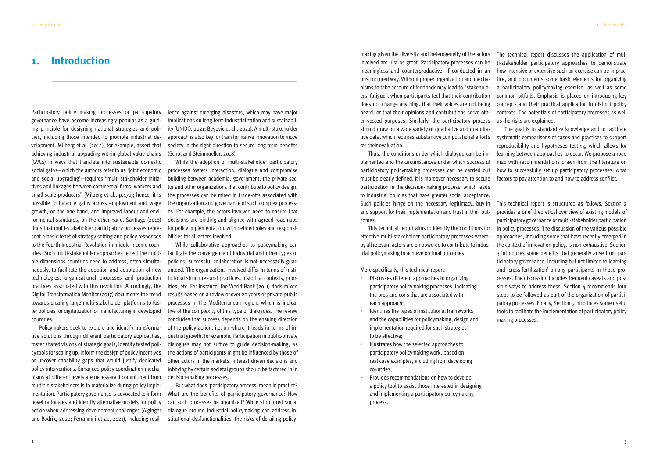Participatory policy making processes or participatory governance have become increasingly popular as a guiding principle for designing national strategies and policies, including those intended to promote industrial development. Milberg et al. (2014), for example, assert that achieving industrial upgrading within global value chains (GVCs) in ways that translate into sustainable domestic social gains—which the authors refer to as 'joint economic and social upgrading'—requires "multi-stakeholder initiatives and linkages between commercial firms, workers and small-scale producers" (Milberg et al., p.172); hence, it is possible to balance gains across employment and wage growth, on the one hand, and improved labour and environmental standards, on the other hand. Santiago (2018) finds that multi-stakeholder participatory processes represent a basic tenet of strategy setting and policy responses to the Fourth Industrial Revolution in middle-income countries. Such multi-stakeholder approaches reflect the multiple dimensions countries need to address, often simultaneously, to facilitate the adoption and adaptation of new technologies, organizational processes and production practices associated with this revolution. Accordingly, the Digital Transformation Monitor (2017) documents the trend towards creating large multi-stakeholder platforms to foster policies for digitalization of manufacturing in developed countries.

Policymakers seek to explore and identify transformative solutions through different participatory approaches, foster shared visions of strategic goals, identify tested policy tools for scaling up, inform the design of policy incentives or uncover capability gaps that would justify dedicated policy interventions. Enhanced policy coordination mechanisms at different levels are necessary if commitment from multiple stakeholders is to materialize during policy implementation. Participatory governance is advocated to inform novel rationales and identify alternative models for policy action when addressing development challenges (Aiginger and Rodrik, 2020; Ferrannini et al., 2021), including resil-

ience against emerging disasters, which may have major implications on long-term industrialization and sustainability (UNIDO, 2021; Begovic et al., 2021). A multi-stakeholder approach is also key for transformative innovation to move society in the right direction to secure long-term benefits (Schot and Steinmueller, 2018).

While the adoption of multi-stakeholder participatory processes fosters interaction, dialogue and compromise building between academia, government, the private sector and other organizations that contribute to policy design, the processes can be mired in trade-offs associated with the organization and governance of such complex processes. For example, the actors involved need to ensure that decisions are binding and aligned with agreed roadmaps for policy implementation, with defined roles and responsibilities for all actors involved.

While collaborative approaches to policymaking can facilitate the convergence of industrial and other types of policies, successful collaboration is not necessarily guaranteed. The organizations involved differ in terms of institutional structures and practices, historical contexts, priorities, etc. For instance, the World Bank (2011) finds mixed results based on a review of over 20 years of private-public processes in the Mediterranean region, which is indicative of the complexity of this type of dialogues. The review concludes that success depends on the ensuing direction of the policy action, i.e. on where it leads in terms of industrial growth, for example. Participation in public-private dialogues may not suffice to guide decision-making, as the actions of participants might be influenced by those of other actors in the markets. Interest-driven decisions and lobbying by certain societal groups should be factored in in decision-making processes.

But what does 'participatory process' mean in practice? What are the benefits of participatory governance? How can such processes be organized? While structured social dialogue around industrial policymaking can address institutional dysfunctionalities, the risks of derailing policymaking given the diversity and heterogeneity of the actors involved are just as great. Participatory processes can be meaningless and counterproductive, if conducted in an unstructured way. Without proper organization and mechanisms to take account of feedback may lead to "stakeholders' fatigue", when participants feel that their contribution does not change anything, that their voices are not being heard, or that their opinions and contributions serve other vested purposes. Similarly, the participatory process should draw on a wide variety of qualitative and quantitative data, which requires substantive computational efforts for their evaluation.

Thus, the conditions under which dialogue can be implemented and the circumstances under which successful participatory policymaking processes can be carried out must be clearly defined. It is moreover necessary to secure participation in the decision-making process, which leads to industrial policies that have greater social acceptance. Such policies hinge on the necessary legitimacy, buy-in and support for their implementation and trust in their outcomes.

This technical report aims to identify the conditions for effective multi-stakeholder participatory processes whereby all relevant actors are empowered to contribute to industrial policymaking to achieve optimal outcomes.

More specifically, this technical report:

- ▸ Discusses different approaches to organizing participatory policymaking processes, indicating the pros and cons that are associated with each approach;
- Identifies the types of institutional frameworks and the capabilities for policymaking, design and implementation required for such strategies to be effective;
- ▸ Illustrates how the selected approaches to participatory policymaking work, based on real case examples, including from developing countries;
- ▸ Provides recommendations on how to develop a policy tool to assist those interested in designing and implementing a participatory policymaking process.

The technical report discusses the application of multi-stakeholder participatory approaches to demonstrate how intensive or extensive such an exercise can be in practice, and documents some basic elements for organizing a participatory policymaking exercise, as well as some common pitfalls. Emphasis is placed on introducing key concepts and their practical application in distinct policy contexts. The potentials of participatory processes as well as the risks are explained.

The goal is to standardize knowledge and to facilitate systematic comparisons of cases and practises to support reproducibility and hypotheses testing, which allows for learning between approaches to occur. We propose a road map with recommendations drawn from the literature on how to successfully set up participatory processes, what factors to pay attention to and how to address conflict.

This technical report is structured as follows. Section 2 provides a brief theoretical overview of existing models of participatory governance or multi-stakeholder participation in policy processes. The discussion of the various possible approaches, including some that have recently emerged in the context of innovation policy, is non-exhaustive. Section 3 introduces some benefits that generally arise from participatory governance, including but not limited to learning and 'cross-fertilization' among participants in those processes. The discussion includes frequent caveats and possible ways to address these. Section  $4$  recommends four steps to be followed as part of the organization of participatory processes. Finally, Section 5 introduces some useful tools to facilitate the implementation of participatory policy making processes.

### <span id="page-3-0"></span>**1. Introduction**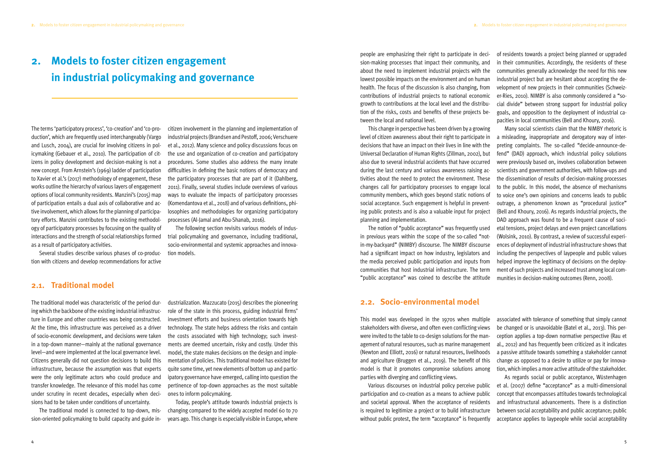The terms 'participatory process', 'co-creation' and 'co-production', which are frequently used interchangeably (Vargo and Lusch, 2004), are crucial for involving citizens in policymaking (Gebauer et al., 2010). The participation of citizens in policy development and decision-making is not a new concept. From Arnstein's (1969) ladder of participation to Xavier et al.'s (2017) methodology of engagement, these works outline the hierarchy of various layers of engagement options of local community residents. Manzini's (2015) map of participation entails a dual axis of collaborative and active involvement, which allows for the planning of participatory efforts. Manzini contributes to the existing methodology of participatory processes by focusing on the quality of interactions and the strength of social relationships formed as a result of participatory activities.

Several studies describe various phases of co-production with citizens and develop recommendations for active

citizen involvement in the planning and implementation of industrial projects (Brandsen and Pestoff, 2006; Verschuere et al., 2012). Many science and policy discussions focus on the use and organization of co-creation and participatory procedures. Some studies also address the many innate difficulties in defining the basic notions of democracy and the participatory processes that are part of it (Dahlberg, 2011). Finally, several studies include overviews of various ways to evaluate the impacts of participatory processes (Komendantova et al., 2018) and of various definitions, philosophies and methodologies for organizing participatory processes (Al-Jamal and Abu-Shanab, 2016).

The following section revisits various models of industrial policymaking and governance, including traditional, socio-environmental and systemic approaches and innovation models.

#### **2.1. Traditional model**

The traditional model was characteristic of the period during which the backbone of the existing industrial infrastructure in Europe and other countries was being constructed. At the time, this infrastructure was perceived as a driver of socio-economic development, and decisions were taken in a top-down manner—mainly at the national governance level—and were implemented at the local governance level. Citizens generally did not question decisions to build this infrastructure, because the assumption was that experts were the only legitimate actors who could produce and transfer knowledge. The relevance of this model has come under scrutiny in recent decades, especially when decisions had to be taken under conditions of uncertainty.

The traditional model is connected to top-down, mission-oriented policymaking to build capacity and guide in-

dustrialization. Mazzucato (2015) describes the pioneering role of the state in this process, guiding industrial firms' investment efforts and business orientation towards high technology. The state helps address the risks and contain the costs associated with high technology; such investments are deemed uncertain, risky and costly. Under this model, the state makes decisions on the design and implementation of policies. This traditional model has existed for quite some time, yet new elements of bottom up and participatory governance have emerged, calling into question the pertinence of top-down approaches as the most suitable ones to inform policymaking.

Today, people's attitude towards industrial projects is changing compared to the widely accepted model 60 to 70 years ago. This change is especially visible in Europe, where

## <span id="page-4-0"></span>**2. Models to foster citizen engagement in industrial policymaking and governance**

people are emphasizing their right to participate in decision-making processes that impact their community, and about the need to implement industrial projects with the lowest possible impacts on the environment and on human health. The focus of the discussion is also changing, from contributions of industrial projects to national economic growth to contributions at the local level and the distribution of the risks, costs and benefits of these projects between the local and national level. of residents towards a project being planned or upgraded in their communities. Accordingly, the residents of these communities generally acknowledge the need for this new industrial project but are hesitant about accepting the development of new projects in their communities (Schweizer-Ries, 2010). NIMBY is also commonly considered a "social divide" between strong support for industrial policy goals, and opposition to the deployment of industrial capacities in local communities (Bell and Khoury, 2016).

level of citizen awareness about their right to participate in decisions that have an impact on their lives in line with the Universal Declaration of Human Rights (Zillman, 2002), but also due to several industrial accidents that have occurred during the last century and various awareness raising activities about the need to protect the environment. These changes call for participatory processes to engage local community members, which goes beyond static notions of social acceptance. Such engagement is helpful in preventing public protests and is also a valuable input for project planning and implementation. in previous years within the scope of the so-called "notin-my-backyard" (NIMBY) discourse. The NIMBY discourse had a significant impact on how industry, legislators and the media perceived public participation and inputs from communities that host industrial infrastructure. The term "public acceptance" was coined to describe the attitude

This change in perspective has been driven by a growing The notion of "public acceptance" was frequently used Many social scientists claim that the NIMBY rhetoric is a misleading, inappropriate and derogatory way of interpreting complaints. The so-called "decide-announce-defend" (DAD) approach, which industrial policy solutions were previously based on, involves collaboration between scientists and government authorities, with follow-ups and the dissemination of results of decision-making processes to the public. In this model, the absence of mechanisms to voice one's own opinions and concerns leads to public outrage, a phenomenon known as "procedural justice" (Bell and Khoury, 2016). As regards industrial projects, the DAD approach was found to be a frequent cause of societal tensions, project delays and even project cancellations (Wolsink, 2010). By contrast, a review of successful experiences of deployment of industrial infrastructure shows that including the perspectives of laypeople and public values helped improve the legitimacy of decisions on the deployment of such projects and increased trust among local communities in decision-making outcomes (Renn, 2008).

#### **2.2. Socio-environmental model**

This model was developed in the 1970s when multiple stakeholders with diverse, and often even conflicting views were invited to the table to co-design solutions for the management of natural resources, such as marine management (Newton and Elliott, 2016) or natural resources, livelihoods and agriculture (Bruggen et al., 2019). The benefit of this model is that it promotes compromise solutions among parties with diverging and conflicting views. associated with tolerance of something that simply cannot be changed or is unavoidable (Batel et al., 2013). This perception applies a top-down normative perspective (Rau et al., 2012) and has frequently been criticized as it indicates a passive attitude towards something a stakeholder cannot change as opposed to a desire to utilize or pay for innovation, which implies a more active attitude of the stakeholder. As regards social or public acceptance, Wüstenhagen

Various discourses on industrial policy perceive public participation and co-creation as a means to achieve public and societal approval. When the acceptance of residents is required to legitimize a project or to build infrastructure without public protest, the term "acceptance" is frequently et al. (2007) define "acceptance" as a multi-dimensional concept that encompasses attitudes towards technological and infrastructural advancements. There is a distinction between social acceptability and public acceptance; public acceptance applies to laypeople while social acceptability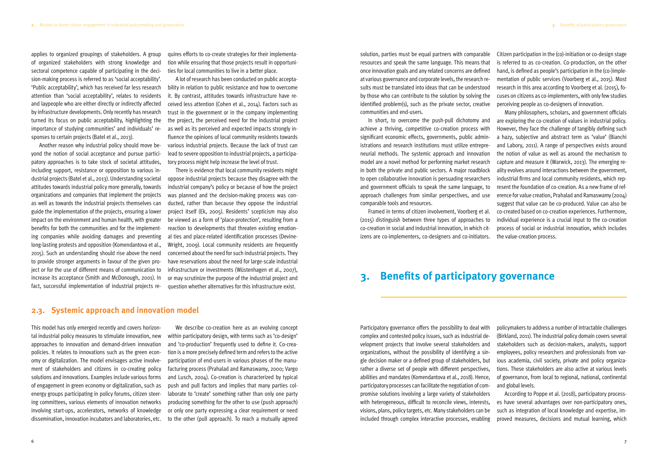<span id="page-5-0"></span>applies to organized groupings of stakeholders. A group of organized stakeholders with strong knowledge and sectoral competence capable of participating in the decision-making process is referred to as 'social acceptability'. 'Public acceptability', which has received far less research attention than 'social acceptability', relates to residents and laypeople who are either directly or indirectly affected by infrastructure developments. Only recently has research turned its focus on public acceptability, highlighting the importance of studying communities' and individuals' responses to certain projects (Batel et al., 2013).

Another reason why industrial policy should move beyond the notion of social acceptance and pursue participatory approaches is to take stock of societal attitudes, including support, resistance or opposition to various industrial projects (Batel et al., 2013). Understanding societal attitudes towards industrial policy more generally, towards organizations and companies that implement the projects as well as towards the industrial projects themselves can guide the implementation of the projects, ensuring a lower impact on the environment and human health, with greater benefits for both the communities and for the implementing companies while avoiding damages and preventing long-lasting protests and opposition (Komendantova et al., 2015). Such an understanding should rise above the need to provide stronger arguments in favour of the given project or for the use of different means of communication to increase its acceptance (Smith and McDonough, 2001). In fact, successful implementation of industrial projects requires efforts to co-create strategies for their implementation while ensuring that those projects result in opportunities for local communities to live in a better place.

A lot of research has been conducted on public acceptability in relation to public resistance and how to overcome it. By contrast, attitudes towards infrastructure have received less attention (Cohen et al., 2014). Factors such as trust in the government or in the company implementing the project, the perceived need for the industrial project as well as its perceived and expected impacts strongly influence the opinions of local community residents towards various industrial projects. Because the lack of trust can lead to severe opposition to industrial projects, a participatory process might help increase the level of trust.

There is evidence that local community residents might oppose industrial projects because they disagree with the industrial company's policy or because of how the project was planned and the decision-making process was conducted, rather than because they oppose the industrial project itself (Ek, 2005). Residents' scepticism may also be viewed as a form of 'place-protection', resulting from a reaction to developments that threaten existing emotional ties and place-related identification processes (Devine-Wright, 2009). Local community residents are frequently concerned about the need for such industrial projects. They have reservations about the need for large-scale industrial infrastructure or investments (Wüstenhagen et al., 2007), or may scrutinize the purpose of the industrial project and question whether alternatives for this infrastructure exist.

#### **2.3. Systemic approach and innovation model**

This model has only emerged recently and covers horizontal industrial policy measures to stimulate innovation, new approaches to innovation and demand-driven innovation policies. It relates to innovations such as the green economy or digitalization. The model envisages active involvement of stakeholders and citizens in co-creating policy solutions and innovations. Examples include various forms of engagement in green economy or digitalization, such as energy groups participating in policy forums, citizen steering committees, various elements of innovation networks involving start-ups, accelerators, networks of knowledge dissemination, innovation incubators and laboratories, etc.

We describe co-creation here as an evolving concept within participatory design, with terms such as 'co-design' and 'co-production' frequently used to define it. Co-creation is a more precisely defined term and refers to the active participation of end-users in various phases of the manufacturing process (Prahalad and Ramaswamy, 2000; Vargo and Lusch, 2004). Co-creation is characterized by typical push and pull factors and implies that many parties collaborate to 'create' something rather than only one party producing something for the other to use (push approach) or only one party expressing a clear requirement or need to the other (pull approach). To reach a mutually agreed

solution, parties must be equal partners with comparable resources and speak the same language. This means that once innovation goals and any related concerns are defined at various governance and corporate levels, the research results must be translated into ideas that can be understood by those who can contribute to the solution by solving the identified problem(s), such as the private sector, creative communities and end-users.

achieve a thriving, competitive co-creation process with significant economic effects, governments, public administrations and research institutions must utilize entrepreneurial methods. The systemic approach and innovation model are a novel method for performing market research in both the private and public sectors. A major roadblock to open collaborative innovation is persuading researchers and government officials to speak the same language, to approach challenges from similar perspectives, and use comparable tools and resources. (2015) distinguish between three types of approaches to co-creation in social and industrial innovation, in which citizens are co-implementers, co-designers and co-initiators.

Citizen participation in the (co)-initiation or co-design stage is referred to as co-creation. Co-production, on the other hand, is defined as people's participation in the (co-)implementation of public services (Voorberg et al., 2015). Most research in this area according to Voorberg et al. (2015), focuses on citizens as co-implementers, with only few studies perceiving people as co-designers of innovation.

In short, to overcome the push-pull dichotomy and Framed in terms of citizen involvement, Voorberg et al. Many philosophers, scholars, and government officials are exploring the co-creation of values in industrial policy. However, they face the challenge of tangibly defining such a hazy, subjective and abstract term as 'value' (Bianchi and Labory, 2011). A range of perspectives exists around the notion of value as well as around the mechanism to capture and measure it (Warwick, 2013). The emerging reality evolves around interactions between the government, industrial firms and local community residents, which represent the foundation of co-creation. As a new frame of reference for value creation, Prahalad and Ramaswamy (2004) suggest that value can be co-produced. Value can also be co-created based on co-creation experiences. Furthermore, individual experience is a crucial input to the co-creation process of social or industrial innovation, which includes the value-creation process.

## **3. Benefits of participatory governance**

Participatory governance offers the possibility to deal with complex and contested policy issues, such as industrial development projects that involve several stakeholders and organizations, without the possibility of identifying a single decision maker or a defined group of stakeholders, but rather a diverse set of people with different perspectives, abilities and mandates (Komendantova et al., 2018). Hence, participatory processes can facilitate the negotiation of compromise solutions involving a large variety of stakeholders with heterogeneous, difficult to reconcile views, interests, visions, plans, policy targets, etc. Many stakeholders can be included through complex interactive processes, enabling policymakers to address a number of intractable challenges (Birkland, 2011). The industrial policy domain covers several stakeholders such as decision-makers, analysts, support employees, policy researchers and professionals from various academia, civil society, private and policy organizations. These stakeholders are also active at various levels of governance, from local to regional, national, continental and global levels. According to Poppe et al. (2018), participatory processes have several advantages over non-participatory ones, such as integration of local knowledge and expertise, improved measures, decisions and mutual learning, which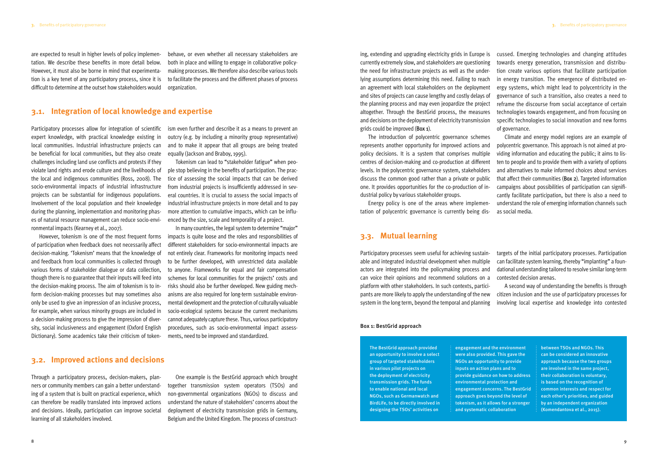The BestGrid approach provided an opportunity to involve a select group of targeted stakeholders in various pilot projects on the deployment of electricity transmission grids. The funds to enable national and local NGOs, such as Germanwatch and BirdLife, to be directly involved in designing the TSOs' activities on

engagement and the environment were also provided. This gave the NGOs an opportunity to provide inputs on action plans and to provide guidance on how to address environmental protection and engagement concerns. The BestGrid approach goes beyond the level of tokenism, as it allows for a stronger and systematic collaboration

between TSOs and NGOs. This can be considered an innovative approach because the two groups are involved in the same project, their collaboration is voluntary, is based on the recognition of common interests and respect for each other's priorities, and guided by an independent organization (Komendantova et al., 2015).

ing, extending and upgrading electricity grids in Europe is currently extremely slow, and stakeholders are questioning the need for infrastructure projects as well as the underlying assumptions determining this need. Failing to reach an agreement with local stakeholders on the deployment and sites of projects can cause lengthy and costly delays of the planning process and may even jeopardize the project altogether. Through the BestGrid process, the measures and decisions on the deployment of electricity transmission grids could be improved (Box 1). cussed. Emerging technologies and changing attitudes towards energy generation, transmission and distribution create various options that facilitate participation in energy transition. The emergence of distributed energy systems, which might lead to polycentricity in the governance of such a transition, also creates a need to reframe the discourse from social acceptance of certain technologies towards engagement, and from focusing on specific technologies to social innovation and new forms of governance.

tation of polycentric governance is currently being dis-

The introduction of polycentric governance schemes represents another opportunity for improved actions and policy decisions. It is a system that comprises multiple centres of decision-making and co-production at different levels. In the polycentric governance system, stakeholders discuss the common good rather than a private or public one. It provides opportunities for the co-production of industrial policy by various stakeholder groups. Energy policy is one of the areas where implemen-Climate and energy model regions are an example of polycentric governance. This approach is not aimed at providing information and educating the public; it aims to listen to people and to provide them with a variety of options and alternatives to make informed choices about services that affect their communities (Box 2). Targeted information campaigns about possibilities of participation can significantly facilitate participation, but there is also a need to understand the role of emerging information channels such as social media.

#### **3.3. Mutual learning**

Participatory processes seem useful for achieving sustainable and integrated industrial development when multiple actors are integrated into the policymaking process and can voice their opinions and recommend solutions on a platform with other stakeholders. In such contexts, participants are more likely to apply the understanding of the new system in the long term, beyond the temporal and planning targets of the initial participatory processes. Participation can facilitate system learning, thereby "implanting" a foundational understanding tailored to resolve similar long-term contested decision arenas. A second way of understanding the benefits is through citizen inclusion and the use of participatory processes for involving local expertise and knowledge into contested

<span id="page-6-0"></span>are expected to result in higher levels of policy implementation. We describe these benefits in more detail below. However, it must also be borne in mind that experimentation is a key tenet of any participatory process, since it is difficult to determine at the outset how stakeholders would behave, or even whether all necessary stakeholders are both in place and willing to engage in collaborative policymaking processes. We therefore also describe various tools to facilitate the process and the different phases of process organization.

### **3.1. Integration of local knowledge and expertise**

Participatory processes allow for integration of scientific expert knowledge, with practical knowledge existing in local communities. Industrial infrastructure projects can be beneficial for local communities, but they also create challenges including land use conflicts and protests if they violate land rights and erode culture and the livelihoods of the local and indigenous communities (Ross, 2008). The socio-environmental impacts of industrial infrastructure projects can be substantial for indigenous populations. Involvement of the local population and their knowledge during the planning, implementation and monitoring phases of natural resource management can reduce socio-environmental impacts (Kearney et al., 2007).

However, tokenism is one of the most frequent forms of participation when feedback does not necessarily affect decision-making. 'Tokenism' means that the knowledge of and feedback from local communities is collected through various forms of stakeholder dialogue or data collection, though there is no guarantee that their inputs will feed into the decision-making process. The aim of tokenism is to inform decision-making processes but may sometimes also only be used to give an impression of an inclusive process, for example, when various minority groups are included in a decision-making process to give the impression of diversity, social inclusiveness and engagement (Oxford English Dictionary). Some academics take their criticism of token-

ism even further and describe it as a means to prevent an outcry (e.g. by including a minority group representative) and to make it appear that all groups are being treated equally (Jackson and Braboy, 1995).

Tokenism can lead to "stakeholder fatigue" when people stop believing in the benefits of participation. The practice of assessing the social impacts that can be derived from industrial projects is insufficiently addressed in several countries. It is crucial to assess the social impacts of industrial infrastructure projects in more detail and to pay more attention to cumulative impacts, which can be influenced by the size, scale and temporality of a project.

In many countries, the legal system to determine "major" impacts is quite loose and the roles and responsibilities of different stakeholders for socio-environmental impacts are not entirely clear. Frameworks for monitoring impacts need to be further developed, with unrestricted data available to anyone. Frameworks for equal and fair compensation schemes for local communities for the projects' costs and risks should also be further developed. New guiding mechanisms are also required for long-term sustainable environmental development and the protection of culturally valuable socio-ecological systems because the current mechanisms cannot adequately capture these. Thus, various participatory procedures, such as socio-environmental impact assessments, need to be improved and standardized.

#### **3.2. Improved actions and decisions**

Through a participatory process, decision-makers, planners or community members can gain a better understanding of a system that is built on practical experience, which can therefore be readily translated into improved actions and decisions. Ideally, participation can improve societal learning of all stakeholders involved.

One example is the BestGrid approach which brought together transmission system operators (TSOs) and non-governmental organizations (NGOs) to discuss and understand the nature of stakeholders' concerns about the deployment of electricity transmission grids in Germany, Belgium and the United Kingdom. The process of construct-

#### Box 1: BestGrid approach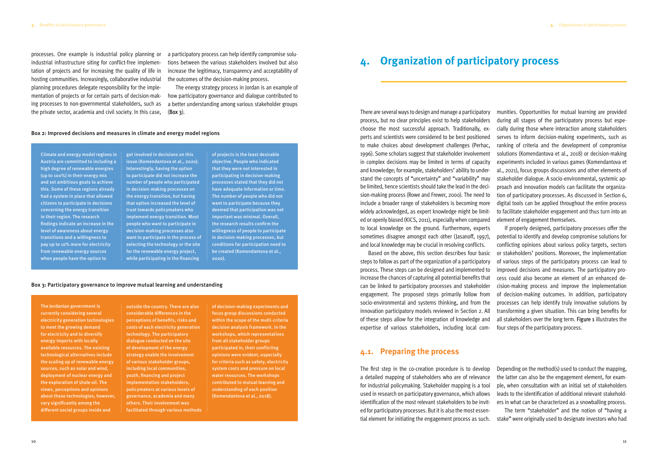<span id="page-7-0"></span>processes. One example is industrial policy planning or industrial infrastructure siting for conflict-free implementation of projects and for increasing the quality of life in hosting communities. Increasingly, collaborative industrial planning procedures delegate responsibility for the implementation of projects or for certain parts of decision-making processes to non-governmental stakeholders, such as the private sector, academia and civil society. In this case,

The energy strategy process in Jordan is an example of how participatory governance and dialogue contributed to a better understanding among various stakeholder groups  $(Box 3)$ .

a participatory process can help identify compromise solutions between the various stakeholders involved but also increase the legitimacy, transparency and acceptability of the outcomes of the decision-making process.

#### Box 2: Improved decisions and measures in climate and energy model regions

Climate and energy model regions in Austria are committed to including a high degree of renewable energies (up to 100%) in their energy mix and set ambitious goals to achieve this. Some of these regions already had a system in place that allowed citizens to participate in decisions concerning the energy transition in their region. The research findings indicate an increase in the level of awareness about energy transitions and a willingness to pay up to 10% more for electricity from renewable energy sources when people have the option to

get involved in decisions on this issue (Komendantova et al., 2020). Interestingly, having the option to participate did not increase the number of people who participated in decision-making processes on the energy transition, but having that option increased the level of trust towards policymakers who implement energy transition. Most people who want to participate in decision-making processes also want to participate in the process of selecting the technology or the site for the renewable energy project, while participating in the financing

of projects is the least desirable objective. People who indicated that they were not interested in participating in decision-making processes stated that they did not have adequate information or time. The number of people who did not want to participate because they deemed that participation was not important was minimal. Overall, the research results confirm the willingness of people to participate in decision-making processes, but conditions for participation need to be created (Komendantova et al., 2020).

#### Box 3: Participatory governance to improve mutual learning and understanding

The Jordanian government is currently considering several electricity generation technologies to meet the growing demand for electricity and to diversify energy imports with locally available resources. The existing technological alternatives include the scaling up of renewable energy sources, such as solar and wind, deployment of nuclear energy and the exploration of shale oil. The views, perceptions and opinions about these technologies, however, vary significantly among the different social groups inside and

outside the country. There are also considerable differences in the perceptions of benefits, risks and costs of each electricity generation technology. The participatory dialogue conducted on the site of development of the energy strategy enable the involvement of various stakeholder groups, including local communities, youth, financing and project implementation stakeholders, policymakers at various levels of governance, academia and many others. Their involvement was facilitated through various methods of decision-making experiments and focus group discussions conducted within the scope of the multi-criteria decision analysis framework. In the workshops, which representatives from all stakeholder groups participated in, their conflicting opinions were evident, especially for criteria such as safety, electricity system costs and pressure on local water resources. The workshops contributed to mutual learning and understanding of each position (Komendantova et al., 2018).

There are several ways to design and manage a participatory process, but no clear principles exist to help stakeholders choose the most successful approach. Traditionally, experts and scientists were considered to be best positioned to make choices about development challenges (Perhac, 1996). Some scholars suggest that stakeholder involvement in complex decisions may be limited in terms of capacity and knowledge; for example, stakeholders' ability to understand the concepts of "uncertainty" and "variability" may be limited, hence scientists should take the lead in the decision-making process (Rowe and Frewer, 2000). The need to include a broader range of stakeholders is becoming more widely acknowledged, as expert knowledge might be limited or openly biased (KICS, 2011), especially when compared to local knowledge on the ground. Furthermore, experts munities. Opportunities for mutual learning are provided during all stages of the participatory process but especially during those where interaction among stakeholders serves to inform decision-making experiments, such as ranking of criteria and the development of compromise solutions (Komendantova et al., 2018) or decision-making experiments included in various games (Komendantova et al., 2021), focus groups discussions and other elements of stakeholder dialogue. A socio-environmental, systemic approach and innovation models can facilitate the organization of participatory processes. As discussed in Section 6, digital tools can be applied throughout the entire process to facilitate stakeholder engagement and thus turn into an element of engagement themselves. If properly designed, participatory processes offer the potential to identify and develop compromise solutions for

sometimes disagree amongst each other (Jasanoff, 1997), and local knowledge may be crucial in resolving conflicts. Based on the above, this section describes four basic steps to follow as part of the organization of a participatory process. These steps can be designed and implemented to increase the chances of capturing all potential benefits that can be linked to participatory processes and stakeholder engagement. The proposed steps primarily follow from socio-environmental and systems thinking, and from the innovation participatory models reviewed in Section 2. All of these steps allow for the integration of knowledge and expertise of various stakeholders, including local comconflicting opinions about various policy targets, sectors or stakeholders' positions. Moreover, the implementation of various steps of the participatory process can lead to improved decisions and measures. The participatory process could also become an element of an enhanced decision-making process and improve the implementation of decision-making outcomes. In addition, participatory processes can help identify truly innovative solutions by transforming a given situation. This can bring benefits for all stakeholders over the long term. Figure 1 illustrates the four steps of the participatory process.

#### **4.1. Preparing the process**

The first step in the co-creation procedure is to develop a detailed mapping of stakeholders who are of relevance for industrial policymaking. Stakeholder mapping is a tool used in research on participatory governance, which allows identification of the most relevant stakeholders to be invited for participatory processes. But it is also the most essential element for initiating the engagement process as such. Depending on the method(s) used to conduct the mapping, the latter can also be the engagement element, for example, when consultation with an initial set of stakeholders leads to the identification of additional relevant stakeholders in what can be characterized as a snowballing process. The term "stakeholder" and the notion of "having a stake" were originally used to designate investors who had

## **4. Organization of participatory process**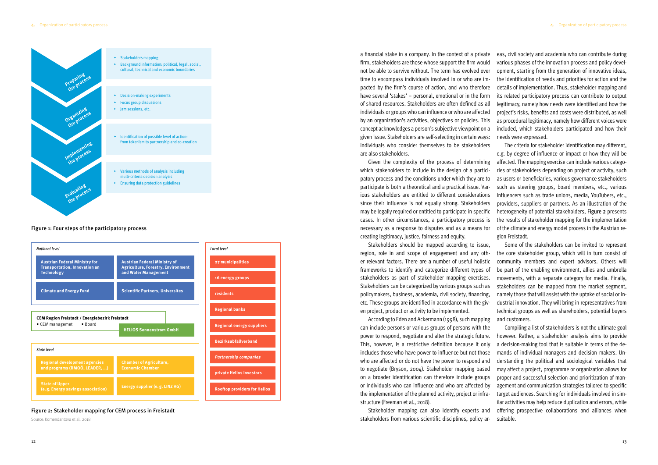a financial stake in a company. In the context of a private firm, stakeholders are those whose support the firm would not be able to survive without. The term has evolved over time to encompass individuals involved in or who are impacted by the firm's course of action, and who therefore have several 'stakes' – personal, emotional or in the form of shared resources. Stakeholders are often defined as all individuals or groups who can influence or who are affected by an organization's activities, objectives or policies. This concept acknowledges a person's subjective viewpoint on a given issue. Stakeholders are self-selecting in certain ways: individuals who consider themselves to be stakeholders are also stakeholders.

can include persons or various groups of persons with the power to respond, negotiate and alter the strategic future. This, however, is a restrictive definition because it only includes those who have power to influence but not those who are affected or do not have the power to respond and to negotiate (Bryson, 2004). Stakeholder mapping based on a broader identification can therefore include groups or individuals who can influence and who are affected by the implementation of the planned activity, project or infrastructure (Freeman et al., 2018). stakeholders from various scientific disciplines, policy ar-

Given the complexity of the process of determining which stakeholders to include in the design of a participatory process and the conditions under which they are to participate is both a theoretical and a practical issue. Various stakeholders are entitled to different considerations since their influence is not equally strong. Stakeholders may be legally required or entitled to participate in specific cases. In other circumstances, a participatory process is necessary as a response to disputes and as a means for creating legitimacy, justice, fairness and equity. The criteria for stakeholder identification may different, e.g. by degree of influence or impact or how they will be affected. The mapping exercise can include various categories of stakeholders depending on project or activity, such as users or beneficiaries, various governance stakeholders such as steering groups, board members, etc., various influencers such as trade unions, media, YouTubers, etc., providers, suppliers or partners. As an illustration of the heterogeneity of potential stakeholders, Figure 2 presents the results of stakeholder mapping for the implementation of the climate and energy model process in the Austrian region Freistadt.

Stakeholders should be mapped according to issue, region, role in and scope of engagement and any other relevant factors. There are a number of useful holistic frameworks to identify and categorize different types of stakeholders as part of stakeholder mapping exercises. Stakeholders can be categorized by various groups such as policymakers, business, academia, civil society, financing, etc. These groups are identified in accordance with the given project, product or activity to be implemented. According to Eden and Ackermann (1998), such mapping Some of the stakeholders can be invited to represent the core stakeholder group, which will in turn consist of community members and expert advisors. Others will be part of the enabling environment, allies and umbrella movements, with a separate category for media. Finally, stakeholders can be mapped from the market segment, namely those that will assist with the uptake of social or industrial innovation. They will bring in representatives from technical groups as well as shareholders, potential buyers and customers.

eas, civil society and academia who can contribute during various phases of the innovation process and policy development, starting from the generation of innovative ideas, the identification of needs and priorities for action and the details of implementation. Thus, stakeholder mapping and its related participatory process can contribute to output legitimacy, namely how needs were identified and how the project's risks, benefits and costs were distributed, as well as procedural legitimacy, namely how different voices were included, which stakeholders participated and how their needs were expressed.



Stakeholder mapping can also identify experts and Compiling a list of stakeholders is not the ultimate goal however. Rather, a stakeholder analysis aims to provide a decision-making tool that is suitable in terms of the demands of individual managers and decision makers. Understanding the political and sociological variables that may affect a project, programme or organization allows for proper and successful selection and prioritization of management and communication strategies tailored to specific target audiences. Searching for individuals involved in similar activities may help reduce duplication and errors, while offering prospective collaborations and alliances when suitable.

## ▸ Background information: political, legal, social, cultural, technical and economic boundaries

- $\blacktriangleright$  Decision-making experiments
- 
- 
- $\blacktriangleright$  Identification of possible level of action: from tokenism to partnership and co-creation
- ▸ Various methods of analysis including multi-criteria decision analysis
- $\blacktriangleright$  Ensuring data protection guidelines



#### Figure 1: Four steps of the participatory process

#### Figure 2: Stakeholder mapping for CEM process in Freistadt

Source: Komendantova et al., 2018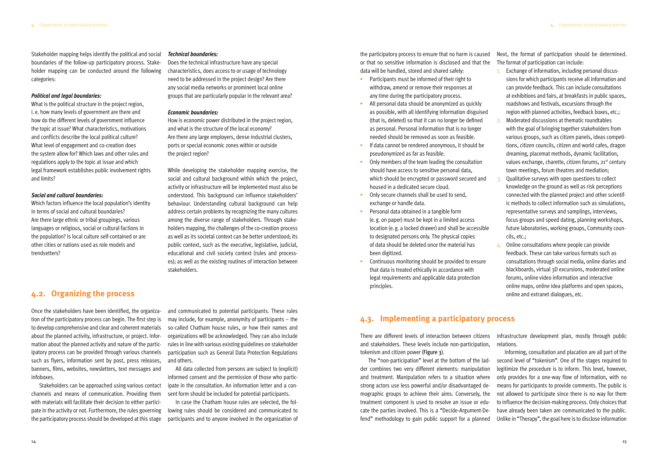the participatory process to ensure that no harm is caused or that no sensitive information is disclosed and that the data will be handled, stored and shared safely: Next, the format of participation should be determined. The format of participation can include: 1. Exchange of information, including personal discus-

- ▸ Participants must be informed of their right to withdraw, amend or remove their responses at any time during the participatory process.
- $\blacktriangleright$  All personal data should be anonymized as quickly as possible, with all identifying information disguised (that is, deleted) so that it can no longer be defined as personal. Personal information that is no longer needed should be removed as soon as feasible.
- ▸ If data cannot be rendered anonymous, it should be pseudonymized as far as feasible.
- ▸ Only members of the team leading the consultation should have access to sensitive personal data, which should be encrypted or password secured and housed in a dedicated secure cloud.
- ▸ Only secure channels shall be used to send, exchange or handle data.
- ▸ Personal data obtained in a tangible form (e. g. on paper) must be kept in a limited access location (e. g. a locked drawer) and shall be accessible to designated persons only. The physical copies of data should be deleted once the material has been digitized.
- ▸ Continuous monitoring should be provided to ensure that data is treated ethically in accordance with legal requirements and applicable data protection principles.
- sions for which participants receive all information and can provide feedback. This can include consultations at exhibitions and fairs, at breakfasts in public spaces, roadshows and festivals, excursions through the region with planned activities, feedback boxes, etc.;
- 2. Moderated discussions at thematic roundtables with the goal of bringing together stakeholders from various groups, such as citizen panels, ideas competitions, citizen councils, citizen and world cafes, dragon dreaming, placemat methods, dynamic facilitation, values exchange, charette, citizen forums, 21<sup>st</sup> century town meetings, forum theatres and mediation;
- 3. Qualitative surveys with open questions to collect knowledge on the ground as well as risk perceptions connected with the planned project and other scientific methods to collect information such as simulations, representative surveys and samplings, interviews, focus groups and speed dating, planning workshops, future laboratories, working groups, Community councils, etc.;
- $\Delta$ . Online consultations where people can provide feedback. These can take various formats such as consultations through social media, online diaries and blackboards, virtual 3D excursions, moderated online forums, online video information and interactive online maps, online idea platforms and open spaces, online and extranet dialogues, etc.

### **4.3. Implementing a participatory process**

There are different levels of interaction between citizens and stakeholders. These levels include non-participation, tokenism and citizen power (Figure 3). infrastructure development plan, mostly through public relations. Informing, consultation and placation are all part of the

The "non-participation" level at the bottom of the ladder combines two very different elements: manipulation and treatment. Manipulation refers to a situation where strong actors use less powerful and/or disadvantaged demographic groups to achieve their aims. Conversely, the treatment component is used to resolve an issue or educate the parties involved. This is a "Decide-Argument-Defend" methodology to gain public support for a planned second level of "tokenism". One of the stages required to legitimize the procedure is to inform. This level, however, only provides for a one-way flow of information, with no means for participants to provide comments. The public is not allowed to participate since there is no way for them to influence the decision-making process. Only choices that have already been taken are communicated to the public. Unlike in "Therapy", the goal here is to disclose information

<span id="page-9-0"></span>Stakeholder mapping helps identify the political and social boundaries of the follow-up participatory process. Stakeholder mapping can be conducted around the following categories:

#### *Political and legal boundaries:*

What is the political structure in the project region, i. e. how many levels of government are there and how do the different levels of government influence the topic at issue? What characteristics, motivations and conflicts describe the local political culture? What level of engagement and co-creation does the system allow for? Which laws and other rules and regulations apply to the topic at issue and which legal framework establishes public involvement rights and limits?

#### *Social and cultural boundaries:*

Which factors influence the local population's identity in terms of social and cultural boundaries? Are there large ethnic or tribal groupings, various languages or religious, social or cultural factions in the population? Is local culture self-contained or are other cities or nations used as role models and trendsetters?

#### *Technical boundaries:*

Does the technical infrastructure have any special characteristics, does access to or usage of technology need to be addressed in the project design? Are there any social media networks or prominent local online groups that are particularly popular in the relevant area?

#### *Economic boundaries:*

How is economic power distributed in the project region, and what is the structure of the local economy? Are there any large employers, dense industrial clusters, ports or special economic zones within or outside the project region?

While developing the stakeholder mapping exercise, the social and cultural background within which the project, activity or infrastructure will be implemented must also be understood. This background can influence stakeholders' behaviour. Understanding cultural background can help address certain problems by recognizing the many cultures among the diverse range of stakeholders. Through stakeholders mapping, the challenges of the co-creation process as well as its societal context can be better understood; its public context, such as the executive, legislative, judicial, educational and civil society context (rules and processes); as well as the existing routines of interaction between stakeholders.

### **4.2. Organizing the process**

Once the stakeholders have been identified, the organization of the participatory process can begin. The first step is to develop comprehensive and clear and coherent materials about the planned activity, infrastructure, or project. Information about the planned activity and nature of the participatory process can be provided through various channels such as flyers, information sent by post, press releases, banners, films, websites, newsletters, text messages and infoboxes.

Stakeholders can be approached using various contact channels and means of communication. Providing them with materials will facilitate their decision to either participate in the activity or not. Furthermore, the rules governing the participatory process should be developed at this stage

and communicated to potential participants. These rules may include, for example, anonymity of participants – the so-called Chatham house rules, or how their names and organizations will be acknowledged. They can also include rules in line with various existing guidelines on stakeholder participation such as General Data Protection Regulations and others.

All data collected from persons are subject to (explicit) informed consent and the permission of those who participate in the consultation. An information letter and a consent form should be included for potential participants.

In case the Chatham house rules are selected, the following rules should be considered and communicated to participants and to anyone involved in the organization of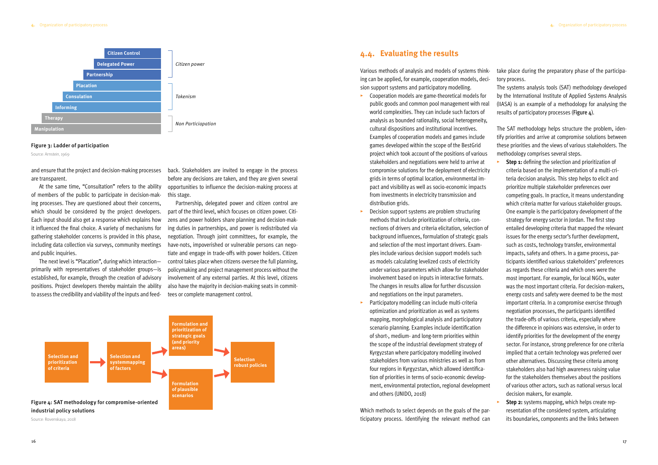At the same time, "Consultation" refers to the ability of members of the public to participate in decision-making processes. They are questioned about their concerns, which should be considered by the project developers. Each input should also get a response which explains how it influenced the final choice. A variety of mechanisms for gathering stakeholder concerns is provided in this phase, including data collection via surveys, community meetings and public inquiries.

are transparent.

and ensure that the project and decision-making processes back. Stakeholders are invited to engage in the process before any decisions are taken, and they are given several opportunities to influence the decision-making process at this stage.

The next level is "Placation", during which interaction primarily with representatives of stakeholder groups—is established, for example, through the creation of advisory positions. Project developers thereby maintain the ability to assess the credibility and viability of the inputs and feed-

Partnership, delegated power and citizen control are part of the third level, which focuses on citizen power. Citizens and power holders share planning and decision-making duties in partnerships, and power is redistributed via negotiation. Through joint committees, for example, the have-nots, impoverished or vulnerable persons can negotiate and engage in trade-offs with power holders. Citizen control takes place when citizens oversee the full planning, policymaking and project management process without the involvement of any external parties. At this level, citizens also have the majority in decision-making seats in committees or complete management control.

#### Figure 3: Ladder of participation

Source: Arnstein, 1969

Source: Rovenskaya, 2018

<span id="page-10-0"></span>

by the International Institute of Applied Systems Analysis (IIASA) is an example of a methodology for analysing the results of participatory processes (Figure  $\Delta$ ).

- ▸ Cooperation models are game-theoretical models for public goods and common pool management with real world complexities. They can include such factors of analysis as bounded rationality, social heterogeneity, cultural dispositions and institutional incentives. Examples of cooperation models and games include games developed within the scope of the BestGrid project which took account of the positions of various stakeholders and negotiations were held to arrive at compromise solutions for the deployment of electricity grids in terms of optimal location, environmental impact and visibility as well as socio-economic impacts from investments in electricity transmission and distribution grids.
- ▸ Decision support systems are problem structuring methods that include prioritization of criteria, connections of drivers and criteria elicitation, selection of background influences, formulation of strategic goals and selection of the most important drivers. Examples include various decision support models such as models calculating levelized costs of electricity under various parameters which allow for stakeholder involvement based on inputs in interactive formats. The changes in results allow for further discussion and negotiations on the input parameters.
- Participatory modelling can include multi-criteria optimization and prioritization as well as systems mapping, morphological analysis and participatory scenario planning. Examples include identification of short-, medium- and long-term priorities within the scope of the industrial development strategy of Kyrgyzstan where participatory modelling involved stakeholders from various ministries as well as from four regions in Kyrgyzstan, which allowed identification of priorities in terms of socio-economic development, environmental protection, regional development and others (UNIDO, 2018)
- **Step 1:** defining the selection and prioritization of criteria based on the implementation of a multi-criteria decision analysis. This step helps to elicit and prioritize multiple stakeholder preferences over competing goals. In practice, it means understanding which criteria matter for various stakeholder groups. One example is the participatory development of the strategy for energy sector in Jordan. The first step entailed developing criteria that mapped the relevant issues for the energy sector's further development, such as costs, technology transfer, environmental impacts, safety and others. In a game process, participants identified various stakeholders' preferences as regards these criteria and which ones were the most important. For example, for local NGOs, water was the most important criteria. For decision-makers, energy costs and safety were deemed to be the most important criteria. In a compromise exercise through negotiation processes, the participants identified the trade-offs of various criteria, especially where the difference in opinions was extensive, in order to identify priorities for the development of the energy sector. For instance, strong preference for one criteria implied that a certain technology was preferred over other alternatives. Discussing these criteria among stakeholders also had high awareness raising value for the stakeholders themselves about the positions of various other actors, such as national versus local decision makers, for example.
- **Step 2:** systems mapping, which helps create representation of the considered system, articulating its boundaries, components and the links between

Various methods of analysis and models of systems thinking can be applied, for example, cooperation models, decision support systems and participatory modelling. take place during the preparatory phase of the participatory process. The systems analysis tools (SAT) methodology developed

Which methods to select depends on the goals of the participatory process. Identifying the relevant method can



The SAT methodology helps structure the problem, identify priorities and arrive at compromise solutions between these priorities and the views of various stakeholders. The methodology comprises several steps.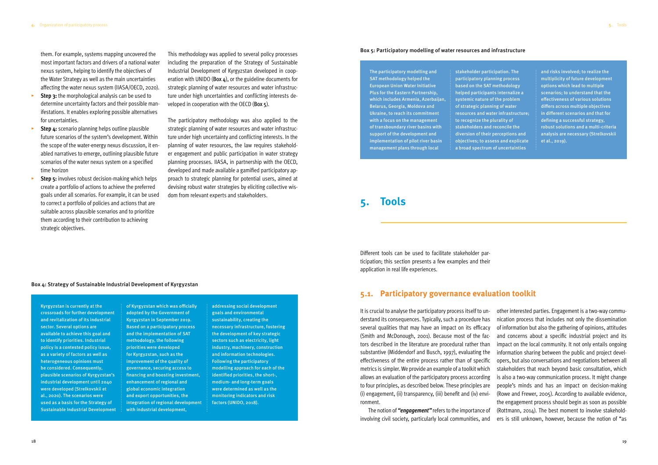<span id="page-11-0"></span>them. For example, systems mapping uncovered the most important factors and drivers of a national water nexus system, helping to identify the objectives of the Water Strategy as well as the main uncertainties affecting the water nexus system (IIASA/OECD, 2020).

- **Step 3:** the morphological analysis can be used to determine uncertainty factors and their possible manifestations. It enables exploring possible alternatives for uncertainties.
- **Step 4:** scenario planning helps outline plausible future scenarios of the system's development. Within the scope of the water-energy nexus discussion, it enabled narratives to emerge, outlining plausible future scenarios of the water nexus system on a specified time horizon
- **Step 5:** involves robust decision-making which helps create a portfolio of actions to achieve the preferred goals under all scenarios. For example, it can be used to correct a portfolio of policies and actions that are suitable across plausible scenarios and to prioritize them according to their contribution to achieving strategic objectives.

This methodology was applied to several policy processes including the preparation of the Strategy of Sustainable Industrial Development of Kyrgyzstan developed in cooperation with UNIDO (Box  $4$ ), or the guideline documents for strategic planning of water resources and water infrastructure under high uncertainties and conflicting interests developed in cooperation with the OECD (Box 5).

The participatory methodology was also applied to the strategic planning of water resources and water infrastructure under high uncertainty and conflicting interests. In the planning of water resources, the law requires stakeholder engagement and public participation in water strategy planning processes. IIASA, in partnership with the OECD, developed and made available a gamified participatory approach to strategic planning for potential users, aimed at devising robust water strategies by eliciting collective wisdom from relevant experts and stakeholders.

#### Box 4: Strategy of Sustainable Industrial Development of Kyrgyzstan

Kyrgyzstan is currently at the crossroads for further development and revitalization of its industrial sector. Several options are available to achieve this goal and to identify priorities. Industrial policy is a contested policy issue, as a variety of factors as well as heterogeneous opinions must be considered. Consequently, plausible scenarios of Kyrgyzstan's industrial development until 2040 were developed (Strelkovskii et al., 2020). The scenarios were used as a basis for the Strategy of Sustainable Industrial Development of Kyrgyzstan which was officially adopted by the Government of Kyrgyzstan in September 2019. Based on a participatory process and the implementation of SAT methodology, the following priorities were developed for Kyrgyzstan, such as the improvement of the quality of governance, securing access to financing and boosting investment, enhancement of regional and global economic integration and export opportunities, the integration of regional development with industrial development,

addressing social development goals and environmental sustainability, creating the necessary infrastructure, fostering the development of key strategic sectors such as electricity, light industry, machinery, construction and information technologies. Following the participatory modelling approach for each of the identified priorities, the short-, medium- and long-term goals were determined as well as the monitoring indicators and risk factors (UNIDO, 2018).

#### Box 5: Participatory modelling of water resources and infrastructure

The participatory modelling and SAT methodology helped the European Union Water Initiative Plus for the Eastern Partnership, which includes Armenia, Azerbaijan, Belarus, Georgia, Moldova and Ukraine, to reach its commitment with a focus on the management of transboundary river basins with support of the development and implementation of pilot river basin management plans through local

stakeholder participation. The participatory planning process based on the SAT methodology helped participants internalize a systemic nature of the problem of strategic planning of water resources and water infrastructure; to recognize the plurality of stakeholders and reconcile the diversion of their perceptions and objectives; to assess and explicate a broad spectrum of uncertainties

and risks involved; to realize the multiplicity of future development options which lead to multiple scenarios; to understand that the effectiveness of various solutions differs across multiple objectives in different scenarios and that for defining a successful strategy, robust solutions and a multi-criteria analysis are necessary (Strelkovskii et al., 2019).

Different tools can be used to facilitate stakeholder participation; this section presents a few examples and their application in real life experiences.

### **5.1. Participatory governance evaluation toolkit**

It is crucial to analyse the participatory process itself to understand its consequences. Typically, such a procedure has several qualities that may have an impact on its efficacy tors described in the literature are procedural rather than substantive (Middendorf and Busch, 1997), evaluating the effectiveness of the entire process rather than of specific metrics is simpler. We provide an example of a toolkit which allows an evaluation of the participatory process according to four principles, as described below. These principles are (i) engagement, (ii) transparency, (iii) benefit and (iv) environment.

(Smith and McDonough, 2001). Because most of the fac-The notion of *"engagement"* refers to the importance of involving civil society, particularly local communities, and other interested parties. Engagement is a two-way communication process that includes not only the dissemination of information but also the gathering of opinions, attitudes and concerns about a specific industrial project and its impact on the local community. It not only entails ongoing information sharing between the public and project developers, but also conversations and negotiations between all stakeholders that reach beyond basic consultation, which is also a two-way communication process. It might change people's minds and has an impact on decision-making (Rowe and Frewer, 2005). According to available evidence, the engagement process should begin as soon as possible (Rottmann, 2014). The best moment to involve stakeholders is still unknown, however, because the notion of "as

### **5. Tools**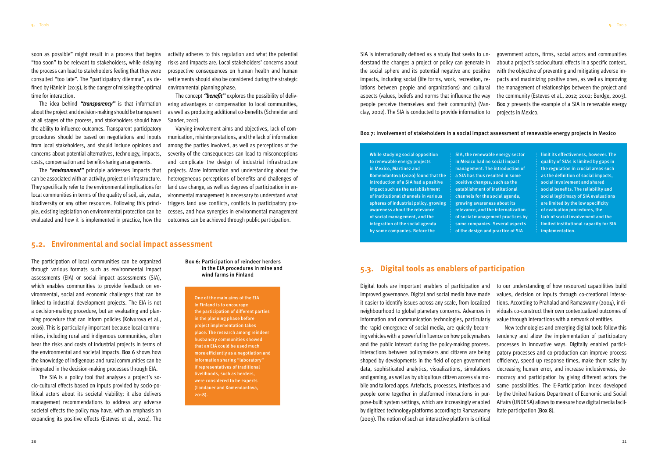<span id="page-12-0"></span>soon as possible" might result in a process that begins "too soon" to be relevant to stakeholders, while delaying the process can lead to stakeholders feeling that they were consulted "too late". The "participatory dilemma", as defined by Hänlein (2015), is the danger of missing the optimal time for interaction.

The idea behind *"transparency"* is that information about the project and decision-making should be transparent at all stages of the process, and stakeholders should have the ability to influence outcomes. Transparent participatory procedures should be based on negotiations and inputs from local stakeholders, and should include opinions and concerns about potential alternatives, technology, impacts, costs, compensation and benefit-sharing arrangements.

The *"environment"* principle addresses impacts that can be associated with an activity, project or infrastructure. They specifically refer to the environmental implications for local communities in terms of the quality of soil, air, water, biodiversity or any other resources. Following this principle, existing legislation on environmental protection can be evaluated and how it is implemented in practice, how the

activity adheres to this regulation and what the potential risks and impacts are. Local stakeholders' concerns about prospective consequences on human health and human settlements should also be considered during the strategic environmental planning phase.

The concept *"benefit"* explores the possibility of delivering advantages or compensation to local communities, as well as producing additional co-benefits (Schneider and Sander, 2012).

Varying involvement aims and objectives, lack of communication, misinterpretations, and the lack of information among the parties involved, as well as perceptions of the severity of the consequences can lead to misconceptions and complicate the design of industrial infrastructure projects. More information and understanding about the heterogeneous perceptions of benefits and challenges of land use change, as well as degrees of participation in environmental management is necessary to understand what triggers land use conflicts, conflicts in participatory processes, and how synergies in environmental management outcomes can be achieved through public participation.

#### **5.2. Environmental and social impact assessment**

The participation of local communities can be organized through various formats such as environmental impact assessments (EIA) or social impact assessments (SIA), which enables communities to provide feedback on environmental, social and economic challenges that can be linked to industrial development projects. The EIA is not a decision-making procedure, but an evaluating and planning procedure that can inform policies (Koivurova et al., 2016). This is particularly important because local communities, including rural and indigenous communities, often bear the risks and costs of industrial projects in terms of the environmental and societal impacts. Box 6 shows how the knowledge of indigenous and rural communities can be integrated in the decision-making processes through EIA.

The SIA is a policy tool that analyses a project's socio-cultural effects based on inputs provided by socio-political actors about its societal viability; it also delivers management recommendations to address any adverse societal effects the policy may have, with an emphasis on expanding its positive effects (Esteves et al., 2012). The SIA is internationally defined as a study that seeks to understand the changes a project or policy can generate in the social sphere and its potential negative and positive impacts, including social (life forms, work, recreation, relations between people and organizations) and cultural aspects (values, beliefs and norms that influence the way people perceive themselves and their community) (Vanclay, 2002). The SIA is conducted to provide information to government actors, firms, social actors and communities about a project's sociocultural effects in a specific context, with the objective of preventing and mitigating adverse impacts and maximizing positive ones, as well as improving the management of relationships between the project and the community (Esteves et al., 2012; 2002; Burdge, 2003). Box 7 presents the example of a SIA in renewable energy projects in Mexico.

#### Box 6: Participation of reindeer herders in the EIA procedures in mine and wind farms in Finland

One of the main aims of the EIA in Finland is to encourage the participation of different parties in the planning phase before project implementation takes place. The research among reindeer husbandry communities showed that an EIA could be used much more efficiently as a negotiation and information sharing "laboratory" if representatives of traditional livelihoods, such as herders, were considered to be experts (Landauer and Komendantova, 2018).

While studying social opposition to renewable energy projects in Mexico, Martinez and Komendantova (2020) found that the introduction of a SIA had a positive impact such as the establishment of institutional channels in various spheres of industrial policy, growing awareness about the relevance of social management, and the integration of the social agenda by some companies. Before the

SIA, the renewable energy sector in Mexico had no social impact management. The introduction of a SIA has thus resulted in some positive changes, such as the establishment of institutional channels for the social agenda, growing awareness about its relevance, and the internalization of social management practices by some companies. Several aspects of the design and practice of SIA

limit its effectiveness, however. The quality of SIAs is limited by gaps in the regulation in crucial areas such as the definition of social impacts, social involvement and shared social benefits. The reliability and social legitimacy of SIA evaluations are limited by the low specificity of evaluation procedures, the lack of social involvement and the limited institutional capacity for SIA implementation.

#### Box 7: Involvement of stakeholders in a social impact assessment of renewable energy projects in Mexico

### **5.3. Digital tools as enablers of participation**

Digital tools are important enablers of participation and improved governance. Digital and social media have made it easier to identify issues across any scale, from localized neighbourhood to global planetary concerns. Advances in information and communication technologies, particularly the rapid emergence of social media, are quickly becoming vehicles with a powerful influence on how policymakers and the public interact during the policy-making process. Interactions between policymakers and citizens are being shaped by developments in the field of open government data, sophisticated analytics, visualizations, simulations and gaming, as well as by ubiquitous citizen access via mobile and tailored apps. Artefacts, processes, interfaces and people come together in platformed interactions in purpose-built system settings, which are increasingly enabled by digitized technology platforms according to Ramaswamy (2009). The notion of such an interactive platform is critical to our understanding of how resourced capabilities build values, decision or inputs through co-creational interactions. According to Prahalad and Ramaswamy (2004), individuals co-construct their own contextualized outcomes of value through interactions with a network of entities. New technologies and emerging digital tools follow this tendency and allow the implementation of participatory processes in innovative ways. Digitally enabled participatory processes and co-production can improve process efficiency, speed up response times, make them safer by decreasing human error, and increase inclusiveness, democracy and participation by giving different actors the same possibilities. The E-Participation Index developed by the United Nations Department of Economic and Social Affairs (UNDESA) allows to measure how digital media facilitate participation (Box 8).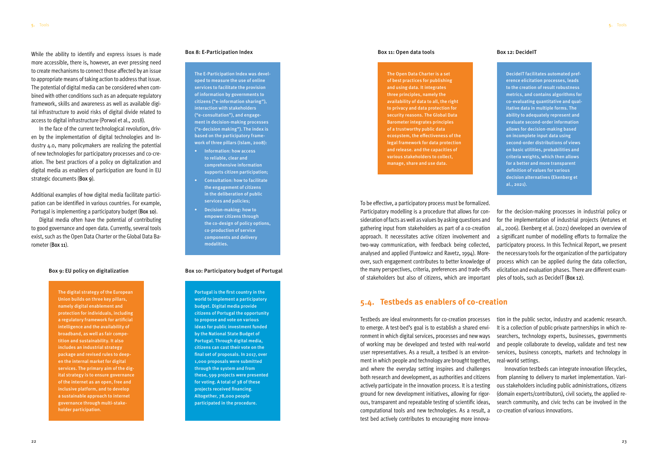<span id="page-13-0"></span>While the ability to identify and express issues is made more accessible, there is, however, an ever pressing need to create mechanisms to connect those affected by an issue to appropriate means of taking action to address that issue. The potential of digital media can be considered when combined with other conditions such as an adequate regulatory framework, skills and awareness as well as available digital infrastructure to avoid risks of digital divide related to access to digital infrastructure (Porwol et al., 2018).

In the face of the current technological revolution, driven by the implementation of digital technologies and Industry 4.0, many policymakers are realizing the potential of new technologies for participatory processes and co-creation. The best practices of a policy on digitalization and digital media as enablers of participation are found in EU strategic documents (Box 9).

Additional examples of how digital media facilitate participation can be identified in various countries. For example, Portugal is implementing a participatory budget (Box 10).

Digital media often have the potential of contributing to good governance and open data. Currently, several tools exist, such as the Open Data Charter or the Global Data Barometer (Box 11).

#### Box 9: EU policy on digitalization

#### Box 11: Open data tools

#### Box 10: Participatory budget of Portugal

The digital strategy of the European Union builds on three key pillars, namely digital enablement and protection for individuals, including a regulatory framework for artificial intelligence and the availability of broadband, as well as fair competition and sustainability. It also includes an industrial strategy package and revised rules to deepen the internal market for digital services. The primary aim of the digital strategy is to ensure governance of the internet as an open, free and inclusive platform, and to develop a sustainable approach to internet governance through multi-stakeholder participation.

#### Box 8: E-Participation Index and the state of the state of the Box 11: Open data tools and Box 12: DecideIT

The Open Data Charter is a set of best practices for publishing and using data. It integrates three principles, namely the availability of data to all, the right to privacy and data protection for security reasons. The Global Data Barometer integrates principles of a trustworthy public data ecosystem, the effectiveness of the legal framework for data protection and release. and the capacities of various stakeholders to collect, manage, share and use data.

Portugal is the first country in the world to implement a participatory budget. Digital media provide citizens of Portugal the opportunity to propose and vote on various ideas for public investment funded by the National State Budget of Portugal. Through digital media, citizens can cast their vote on the final set of proposals. In 2017, over 1,000 proposals were submitted through the system and from these, 599 projects were presented for voting. A total of 38 of these projects received financing. Altogether, 78,000 people participated in the procedure.

The E-Participation Index was developed to measure the use of online services to facilitate the provision of information by governments to citizens ("e-information sharing"), interaction with stakeholders ("e-consultation"), and engagement in decision-making processes ("e-decision making"). The index is based on the participatory framework of three pillars (Islam, 2008):

- Information: how access to reliable, clear and comprehensive information supports citizen participation;
- Consultation: how to facilitate the engagement of citizens in the deliberation of public services and policies;
- Decision-making: how to empower citizens through the co-design of policy options, co-production of service components and delivery modalities.



To be effective, a participatory process must be formalized. Participatory modelling is a procedure that allows for consideration of facts as well as values by asking questions and gathering input from stakeholders as part of a co-creation approach. It necessitates active citizen involvement and two-way communication, with feedback being collected, analysed and applied (Funtowicz and Ravetz, 1994). Moreover, such engagement contributes to better knowledge of the many perspectives, criteria, preferences and trade-offs of stakeholders but also of citizens, which are important for the decision-making processes in industrial policy or for the implementation of industrial projects (Antunes et al., 2006). Ekenberg et al. (2021) developed an overview of a significant number of modelling efforts to formalize the participatory process. In this Technical Report, we present the necessary tools for the organization of the participatory process which can be applied during the data collection, elicitation and evaluation phases. There are different examples of tools, such as DecideIT (Box 12).

### **5.4. Testbeds as enablers of co-creation**

Testbeds are ideal environments for co-creation processes to emerge. A test-bed's goal is to establish a shared environment in which digital services, processes and new ways of working may be developed and tested with real-world user representatives. As a result, a testbed is an environment in which people and technology are brought together, and where the everyday setting inspires and challenges both research and development, as authorities and citizens actively participate in the innovation process. It is a testing ground for new development initiatives, allowing for rigorous, transparent and repeatable testing of scientific ideas, computational tools and new technologies. As a result, a test bed actively contributes to encouraging more innovation in the public sector, industry and academic research. It is a collection of public-private partnerships in which researchers, technology experts, businesses, governments and people collaborate to develop, validate and test new services, business concepts, markets and technology in real-world settings. Innovation testbeds can integrate innovation lifecycles, from planning to delivery to market implementation. Various stakeholders including public administrations, citizens (domain experts/contributors), civil society, the applied research community, and civic techs can be involved in the co-creation of various innovations.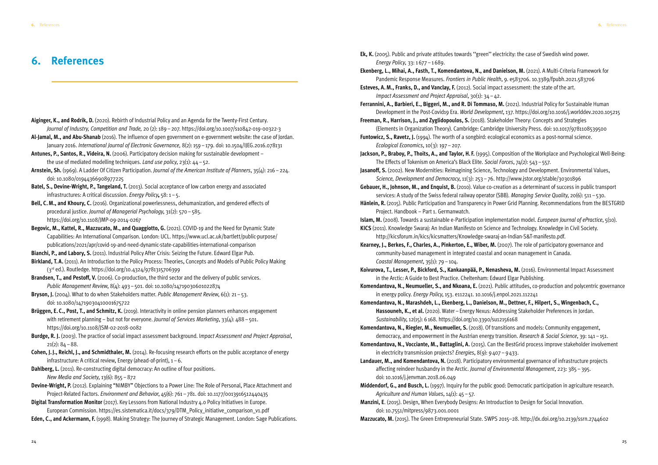## <span id="page-14-0"></span>**6. References**

- **Aiginger, K., and Rodrik, D.** (2020). Rebirth of Industrial Policy and an Agenda for the Twenty-First Century. *Journal of Industry, Competition and Trade,* 20 (2): 189–207.<https://doi.org/10.1007/s10842-019-00322-3>
- **Al-Jamal, M., and Abu-Shanab** (2016). The influence of open government on e-government website: the case of Jordan. January 2016. *International Journal of Electronic Governance,* 8(2): 159–179. doi: 10.1504/IJEG.2016.078131
- **Antunes, P., Santos, R., Videira, N.** (2006). Participatory decision making for sustainable development the use of mediated modelling techniques. *Land use policy*, 23(1): 44–52.
- **Arnstein, Sh.** (1969). A Ladder Of Citizen Participation. *Journal of the American Institute of Planners*, 35(4): 216–224. doi: 10.1080/01944366908977225
- **Batel, S., Devine-Wright, P., Tangeland, T.** (2013). Social acceptance of low carbon energy and associated infrastructures: A critical discussion. *Energy Policy***,** 58: 1–5.
- **Bell, C.M., and Khoury, C.** (2016). Organizational powerlessness, dehumanization, and gendered effects of procedural justice. *Journal of Managerial Psychology*, 31(2): 570–585. [https://doi.org/10.1108/JMP-09-2014-0267](https://doi.org/10.1108/JMP-09-2014-0267 )
- **Begovic, M., Kattel, R., Mazzucato, M., and Quaggiotto, G.** (2021). COVID-19 and the Need for Dynamic State Capabilities: An International Comparison. London: UCL. [https://www.ucl.ac.uk/bartlett/public-purpose/](https://www.ucl.ac.uk/bartlett/public-purpose/publications/2021/apr/covid-19-and-need-dynamic-state-capabilities-international-comparison) [publications/2021/apr/covid-19-and-need-dynamic-state-capabilities-international-comparison](https://www.ucl.ac.uk/bartlett/public-purpose/publications/2021/apr/covid-19-and-need-dynamic-state-capabilities-international-comparison)
- **Bianchi, P., and Labory, S.** (2011). Industrial Policy After Crisis: Seizing the Future. Edward Elgar Pub.
- **Birkland, T.A.** (2011). An Introduction to the Policy Process: Theories, Concepts and Models of Public Policy Making (3rd ed.). Routledge. <https://doi.org/10.4324/9781315706399>
- **Brandsen, T., and Pestoff, V.** (2006). Co-production, the third sector and the delivery of public services. *Public Management Review*, 8(4): 493–501. doi: 10.1080/14719030601022874
- **Bryson, J.** (2004). What to do when Stakeholders matter. *Public Management Review*, 6(1): 21–53. doi: 10.1080/14719030410001675722
- **Brüggen, E. C., Post, T., and Schmitz, K.** (2019). Interactivity in online pension planners enhances engagement with retirement planning – but not for everyone. *Journal of Services Marketing*, 33(4): 488–501. <https://doi.org/10.1108/JSM-02-2018-0082>
- **Burdge, R. J.** (2003). The practice of social impact assessment background. I*mpact Assessment and Project Appraisal*,  $21(2): 84 - 88.$
- **Cohen, J.J., Reichl, J., and Schmidthaler, M.** (2014). Re-focusing research efforts on the public acceptance of energy infrastructure: A critical review, Energy (ahead-of-print),  $1-6$ .
- **Dahlberg, L.** (2011). Re-constructing digital democracy: An outline of four positions. *New Media and Society*, 13(6): 855–872
- **Devine-Wright, P.** (2012). Explaining "NIMBY" Objections to a Power Line: The Role of Personal, Place Attachment and Project-Related Factors. *Environment and Behavior*, 45(6): 761–781. doi: 10.1177/0013916512440435
- **Digital Transformation Monitor** (2017). Key Lessons from National Industry 4.0 Policy Initiatives in Europe. European Commission. [https://es.sistematica.it/docs/379/DTM\\_Policy\\_initiative\\_comparison\\_v1.pdf](https://es.sistematica.it/docs/379/DTM_Policy_initiative_comparison_v1.pdf)
- **Eden, C., and Ackermann, F.** (1998). Making Strategy: The Journey of Strategic Management. London: Sage Publications.

**Ek, K.** (2005). Public and private attitudes towards ''green'' electricity: the case of Swedish wind power. *Energy Policy*, 33: 1 677–1 689. **Ekenberg, L., Mihai, A., Fasth, T., Komendantova, N., and Danielson, M.** (2021). A Multi-Criteria Framework for Pandemic Response Measures. *Frontiers in Public Health*, 9. e583706. 10.3389/fpubh.2021.583706 **Esteves, A.M., Franks, D., and Vanclay, F.** (2012). Social impact assessment: the state of the art. *Impact Assessment and Project Appraisal*, 30(1): 34–42. **Ferrannini, A., Barbieri, E., Biggeri, M., and R. Di Tommaso, M.** (2021). Industrial Policy for Sustainable Human Development in the Post-Covid19 Era. *World Development*, 137.<https://doi.org/10.1016/j.worlddev.2020.105215> **Freeman, R., Harrison, J., and Zyglidopoulos, S.** (2018). Stakeholder Theory: Concepts and Strategies (Elements in Organization Theory). Cambridge: Cambridge University Press. doi: 10.1017/9781108539500 **Funtowicz, S., Ravetz, J.** (1994). The worth of a songbird: ecological economics as a post-normal science. *Ecological Economics*, 10(3): 197–207. **Jackson, P., Braboy, P., Thoits, A., and Taylor, H.F.** (1995). Composition of the Workplace and Psychological Well-Being: The Effects of Tokenism on America's Black Elite. *Social Forces*, 74(2): 543–557. **Jasanoff, S.** (2002). New Modernities: Reimagining Science, Technology and Development. Environmental Values, *Science, Development and Democracy*, 11(3): 253–76. <http://www.jstor.org/stable/30301896> **Gebauer, H., Johnson, M., and Enquist, B.** (2010). Value co-creation as a determinant of success in public transport services: A study of the Swiss federal railway operator (SBB). *Managing Service Quality*, 20(6): 511–530. **Hänlein, R.** (2015). Public Participation and Transparency in Power Grid Planning. Recommendations from the BESTGRID Project. Handbook – Part 1. Germanwatch. **Islam, M.** (2008). Towards a sustainable e-Participation implementation model. *European Journal of ePractice*, 5(10). **KICS** (2011). Knowledge Swaraj: An Indian Manifesto on Science and Technology. Knowledge in Civil Society. [http://kicsforum.in/kics/kicsmatters/Knowledge-swaraj-an-Indian-S&T-manifesto.pdf.](http://kicsforum.in/kics/kicsmatters/Knowledge-swaraj-an-Indian-S&T-manifesto.pdf) **Kearney, J., Berkes, F., Charles, A., Pinkerton, E., Wiber, M.** (2007). The role of participatory governance and community-based management in integrated coastal and ocean management in Canada. *Coastal Management*, 35(1): 79–104. **Koivurova, T., Lesser, P., Bickford, S., Kankaanpää, P., Nenasheva, M.** (2016). Environmental Impact Assessment in the Arctic: A Guide to Best Practice. Cheltenham: Edward Elgar Publishing. **Komendantova, N., Neumueller, S., and Nkoana, E.** (2021). Public attitudes, co-production and polycentric governance in energy policy. *Energy Policy*, 153. e112241. 10.1016/j.enpol.2021.112241 **Komendantova, N., Marashdeh, L., Ekenberg, L., Danielson, M., Dettner, F., Hilpert, S., Wingenbach, C., Hassouneh, K., et al.** (2020). Water–Energy Nexus: Addressing Stakeholder Preferences in Jordan. *Sustainability*, 12(15): 6 168. <https://doi.org/10.3390/su12156168> **Komendantova, N., Riegler, M., Neumueller, S.** (2018). Of transitions and models: Community engagement, democracy, and empowerment in the Austrian energy transition. *Research & Social Science*, 39: 141–151. **Komendantova, N., Vocciante, M., Battaglini, A.** (2015). Can the BestGrid process improve stakeholder involvement in electricity transmission projects? *Energies*, 8(9): 9 407–9 433. **Landauer, M., and Komendantova, N.** (2018). Participatory environmental governance of infrastructure projects affecting reindeer husbandry in the Arctic. *Journal of Environmental Management*, 223: 385–395. doi: 10.1016/j.jenvman.2018.06.049 **Middendorf, G., and Busch, L.** (1997). Inquiry for the public good: Democratic participation in agriculture research. *Agriculture and Human Values*, 14(1): 45–57. **Manzini, E**. (2015). Design, When Everybody Designs: An Introduction to Design for Social Innovation. doi: 10.7551/mitpress/9873.001.0001 **Mazzucato, M.** (2015). The Green Entrepreneurial State. SWPS 2015–28. <http://dx.doi.org/10.2139/ssrn.2744602>

- 
- 
- 
- 
- 
- 
- 
- 
- 
- 
- 
- 
- 
- 
- 
- 
- 
- 
- 
- 
-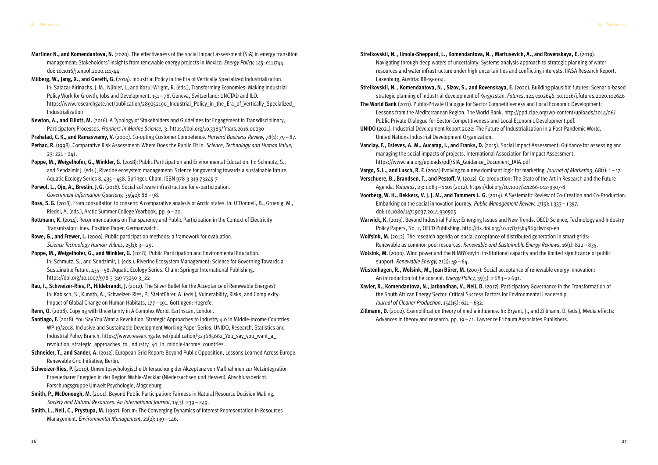- **Martinez N., and Komendantova, N.** (2020). The effectiveness of the social impact assessment (SIA) in energy transition management: Stakeholders' insights from renewable energy projects in Mexico. *Energy Policy*, 145: e111744. doi: 10.1016/j.enpol.2020.111744
- **Milberg, W., Jang, X., and Gereffi, G.** (2014). Industrial Policy in the Era of Vertically Specialized Industrialization. In: Salazar-Xirinachs, J.M., Nübler, I., and Kozul-Wright, R. (eds.), Transforming Economies: Making Industrial Policy Work for Growth, Jobs and Development, 151–78. Geneva, Switzerland: UNCTAD and ILO. https://www.researchgate.net/publication/289252190\_Industrial\_Policy\_in\_the\_Era\_of\_Vertically\_Specialized [Industrialization](https://www.researchgate.net/publication/289252190_Industrial_Policy_in_the_Era_of_Vertically_Specialized_Industrialization)
- **Newton, A., and Elliott, M.** (2016). A Typology of Stakeholders and Guidelines for Engagement in Transdisciplinary, Participatory Processes. *Frontiers in Marine Science*, 3.<https://doi.org/10.3389/fmars.2016.00230>
- **Prahalad, C.K., and Ramaswamy, V.** (2000). Co-opting Customer Competence. *Harvard Business Review*, 78(1): 79–87.
- **Perhac, R.** (1998). Comparative Risk Assessment: Where Does the Public Fit In. *Science, Technology and Human Value*, 23: 221–241.
- **Poppe, M., Weigelhofer, G., Winkler, G.** (2018): Public Participation and Environmental Education. In: Schmutz, S., and Sendzimir J. (eds.), Riverine ecosystem management: Science for governing towards a sustainable future. Aquatic Ecology Series 8, 435–458. Springer, Cham. ISBN 978-3-319-73249-7
- **Porwol, L., Ojo, A., Breslin, J.G.** (2018). Social software infrastructure for e-participation. *Government Information Quarterly*, 35(40): 88–98.
- **Ross, S.G.** (2018). From consultation to consent: A comparative analysis of Arctic states. In: O'Donnell, B., Gruenig, M., Riedel, A. (eds.), Arctic Summer College Yearbook, pp. 9–20.
- **Rottmann, K.** (2014). Recommendations on Transparency and Public Participation in the Context of Electricity Transmission Lines. Position Paper. Germanwatch.
- **Rowe, G., and Frewer, L.** (2000). Public participation methods: a framework for evaluation. *Science Technology Human Values*, 25(1): 3–29.
- **Poppe, M., Weigelhofer, G., and Winkler, G.** (2018). Public Participation and Environmental Education. In: Schmutz, S., and Sendzimir, J. (eds.), Riverine Ecosystem Management: Science for Governing Towards a Sustainable Future, 435–58. Aquatic Ecology Series. Cham: Springer International Publishing. [https://doi.org/10.1007/978-3-319-73250-3\\_22](https://doi.org/10.1007/978-3-319-73250-3_22)
- **Rau, I., Schweizer-Ries, P., Hildebrandt, J.** (2012). The Silver Bullet for the Acceptance of Renewable Energies? In: Kabisch, S., Kunath, A., Schweizer- Ries, P., Steinführer, A. (eds.), Vulnerability, Risks, and Complexity: Impact of Global Change on Human Habitats, 177–191. Gottingen: Hogrefe.

- **Santiago, F.** (2018). You Say You Want a Revolution: Strategic Approaches to Industry 4.0 in Middle-Income Countries. WP 19/2018. Inclusive and Sustainable Development Working Paper Series. UNIDO, Research, Statistics and Industrial Policy Branch. [https://www.researchgate.net/publication/323685662\\_You\\_say\\_you\\_want\\_a\\_](https://www.researchgate.net/publication/323685662_You_say_you_want_a_revolution_strategic_approaches_to_Industry_40_in_middle-income_countries) [revolution\\_strategic\\_approaches\\_to\\_Industry\\_40\\_in\\_middle-income\\_countries](https://www.researchgate.net/publication/323685662_You_say_you_want_a_revolution_strategic_approaches_to_Industry_40_in_middle-income_countries).
- **Schneider, T., and Sander, A.** (2012). European Grid Report: Beyond Public Opposition, Lessons Learned Across Europe. Renewable Grid Initiative, Berlin.
- **Schweizer-Ries, P.** (2010). Umweltpsychologische Untersuchung der Akzeptanz von Maßnahmen zur Netzintegration Erneuerbarer Energien in der Region Wahle-Mecklar (Niedersachsen und Hessen). Abschlussbericht. Forschungsgruppe Umwelt Psychologie, Magdeburg.
- **Smith, P., McDonough, M.** (2001). Beyond Public Participation: Fairness in Natural Resource Decision Making. *Society and Natural Resources: An International Journal*, 14(3): 239–249.
- **Smith, L., Nell, C., Prystupa, M.** (1997). Forum: The Converging Dynamics of Interest Representation in Resources Management. *Environmental Management*, 21(2): 139–146.

**Renn, O.** (2008). Copying with Uncertainty in A Complex World. Earthscan, London.

strategic planning of industrial development of Kyrgyzstan. *Futures*, 124 e102646. 10.1016/j.futures.2020.102646

**Vargo, S. L., and Lusch, R. F.** (2004) Evolving to a new dominant logic for marketing. *Journal of Marketing*, 68(1): 1–17.

**Verschuere, B., Brandsen, T., and Pestoff, V.** (2012). Co-production: The State of the Art in Research and the Future

- **Strelkovskii, N. , Ilmola-Sheppard, L., Komendantova, N. , Martusevich, A., and Rovenskaya, E.** (2019). Navigating through deep waters of uncertainty: Systems analysis approach to strategic planning of water resources and water infrastructure under high uncertainties and conflicting interests. IIASA Research Report. Laxenburg, Austria: RR-19-004.
- **Strelkovskii, N. , Komendantova, N. , Sizov, S., and Rovenskaya, E.** (2020). Building plausible futures: Scenario-based
- **The World Bank** (2011). Public-Private Dialogue for Sector Competitiveness and Local Economic Development: Lessons from the Mediterranean Region. The World Bank. [http://ppd.cipe.org/wp-content/uploads/2014/06/](http://ppd.cipe.org/wp-content/uploads/2014/06/Public-Private-Dialogue-for-Sector-Competitiveness-and-Local-Economic-Development.pdf) [Public-Private-Dialogue-for-Sector-Competitiveness-and-Local-Economic-Development.pdf.](http://ppd.cipe.org/wp-content/uploads/2014/06/Public-Private-Dialogue-for-Sector-Competitiveness-and-Local-Economic-Development.pdf)
- **UNIDO** (2021). Industrial Development Report 2022: The Future of Industrialization in a Post-Pandemic World. United Nations Industrial Development Organization.
- **Vanclay, F., Esteves, A. M., Aucamp, I., and Franks, D.** (2015). Social Impact Assessment: Guidance for assessing and managing the social impacts of projects. International Association for Impact Assessment. https://www.iaia.org/uploads/pdf/SIA Guidance Document IAIA.pdf
- 
- Agenda. *Voluntas*, 23: 1 083–1101 (2012). <https://doi.org/10.1007/s11266-012-9307-8>
- Embarking on the social innovation journey. *Public Management Review*, 17(9): 1 333–1 357. doi: 10.1080/14719037.2014.930505
- Policy Papers, No. 2, OECD Publishing. http://dx.doi.org/10.1787/5k4869clwoxp-en
- **Wolfsink, M.** (2012). The research agenda on social acceptance of distributed generation in smart grids: Renewable as common pool resources. *Renewable and Sustainable Energy Reviews*, 16(1): 822–835.
- **Wolsink, M.** (2000). Wind power and the NIMBY-myth: institutional capacity and the limited significance of public support. *Renewable Energy*, 21(1): 49–64.
- **Wüstenhagen, R., Wolsink, M., Jean Bürer, M.** (2007). Social acceptance of renewable energy innovation: An introduction tot he concept. *Energy Policy*, 35(5): 2 683–2 691.
- **Xavier, R., Komendantova, N., Jarbandhan, V., Nell, D.** (2017). Participatory Governance in the Transformation of the South African Energy Sector: Critical Success Factors for Environmental Leadership. *Journal of Cleaner Production*, 154(15): 621–632.
- **Zillmann, D.** (2002). Exemplification theory of media influence. In: Bryant, J., and Zillmann, D. (eds.), Media effects: Advances in theory and research, pp. 19–41. Lawrence Erlbaum Associates Publishers.

**Voorberg, W. H., Bekkers, V. J. J. M., and Tummers L. G.** (2014). A Systematic Review of Co-Creation and Co-Production:

**Warwick, K.** (2013). Beyond Industrial Policy: Emerging Issues and New Trends. OECD Science, Technology and Industry